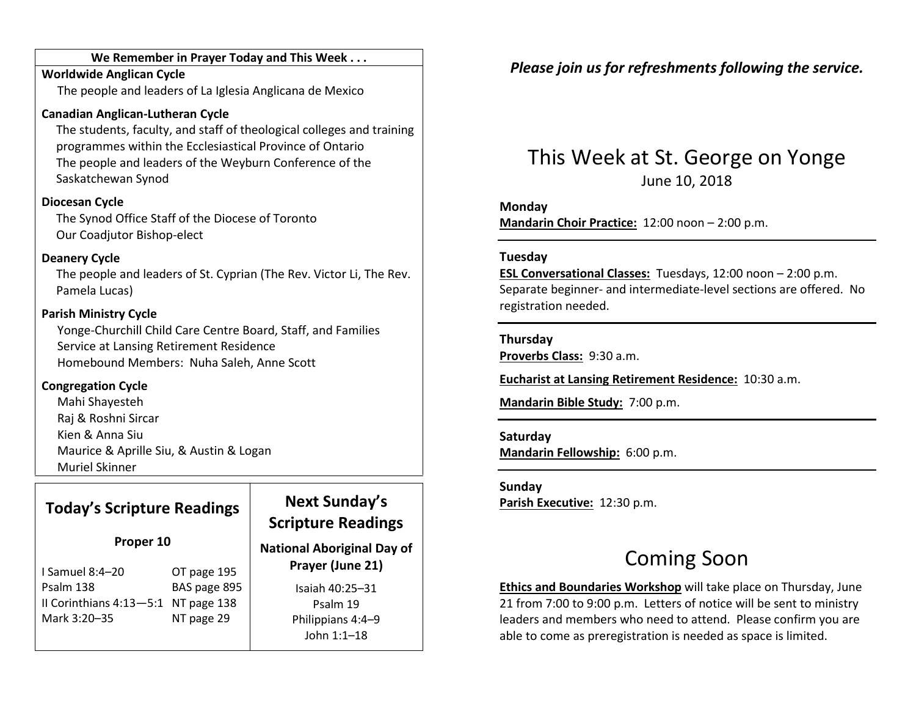#### We Remember in Prayer Today and This Week . . .

#### Worldwide Anglican CycleThe people and leaders of La Iglesia Anglicana de Mexico

#### Canadian Anglican-Lutheran Cycle

The students, faculty, and staff of theological colleges and training programmes within the Ecclesiastical Province of Ontario The people and leaders of the Weyburn Conference of the Saskatchewan Synod

#### Diocesan Cycle

The Synod Office Staff of the Diocese of Toronto Our Coadjutor Bishop-elect

#### Deanery Cycle

The people and leaders of St. Cyprian (The Rev. Victor Li, The Rev. Pamela Lucas)

#### Parish Ministry Cycle

Yonge-Churchill Child Care Centre Board, Staff, and Families Service at Lansing Retirement Residence Homebound Members: Nuha Saleh, Anne Scott

#### Congregation Cycle

Mahi Shayesteh Raj & Roshni Sircar Kien & Anna Siu Maurice & Aprille Siu, & Austin & Logan Muriel Skinner

### Today's Scripture Readings

#### Proper 10

| OT page 195                         |
|-------------------------------------|
| BAS page 895                        |
| II Corinthians 4:13-5:1 NT page 138 |
| NT page 29                          |
|                                     |

### Next Sunday's Scripture Readings

National Aboriginal Day of Prayer (June 21)

> Isaiah 40:25–31 Psalm 19 Philippians 4:4–9 John 1:1–18

### Please join us for refreshments following the service.

## This Week at St. George on Yonge June 10, 2018

#### Monday

Mandarin Choir Practice: 12:00 noon – 2:00 p.m.

#### Tuesday

ESL Conversational Classes: Tuesdays, 12:00 noon – 2:00 p.m. Separate beginner- and intermediate-level sections are offered. No registration needed.

#### Thursday

Proverbs Class: 9:30 a.m.

Eucharist at Lansing Retirement Residence: 10:30 a.m.

Mandarin Bible Study: 7:00 p.m.

#### Saturday

Mandarin Fellowship: 6:00 p.m.

Sunday Parish Executive: 12:30 p.m.

## Coming Soon

Ethics and Boundaries Workshop will take place on Thursday, June 21 from 7:00 to 9:00 p.m. Letters of notice will be sent to ministry leaders and members who need to attend. Please confirm you are able to come as preregistration is needed as space is limited.